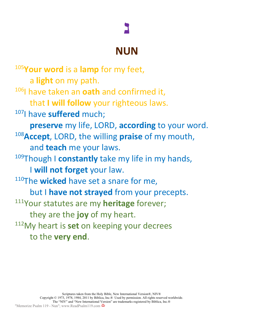## **נ**

## **NUN**

<sup>105</sup>**Your word** is a **lamp** for my feet, a **light** on my path. 106I have taken an **oath** and confirmed it, that **I will follow** your righteous laws. 107I have **suffered** much; **preserve** my life, LORD, **according** to your word. 108 **Accept**, LORD, the willing **praise** of my mouth, and **teach** me your laws. 109Though I **constantly** take my life in my hands, I **will not forget** your law. 110The **wicked** have set a snare for me, but I **have not strayed** from your precepts. 111Your statutes are my **heritage** forever; they are the **joy** of my heart. 112My heart is **set** on keeping your decrees to the **very end**.